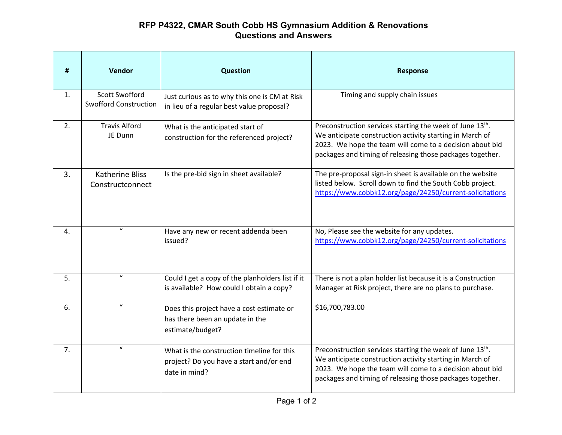## **RFP P4322, CMAR South Cobb HS Gymnasium Addition & Renovations Questions and Answers**

| #  | Vendor                                                | <b>Question</b>                                                                                        | Response                                                                                                                                                                                                                                                   |
|----|-------------------------------------------------------|--------------------------------------------------------------------------------------------------------|------------------------------------------------------------------------------------------------------------------------------------------------------------------------------------------------------------------------------------------------------------|
| 1. | <b>Scott Swofford</b><br><b>Swofford Construction</b> | Just curious as to why this one is CM at Risk<br>in lieu of a regular best value proposal?             | Timing and supply chain issues                                                                                                                                                                                                                             |
| 2. | <b>Travis Alford</b><br>JE Dunn                       | What is the anticipated start of<br>construction for the referenced project?                           | Preconstruction services starting the week of June 13 <sup>th</sup> .<br>We anticipate construction activity starting in March of<br>2023. We hope the team will come to a decision about bid<br>packages and timing of releasing those packages together. |
| 3. | <b>Katherine Bliss</b><br>Constructconnect            | Is the pre-bid sign in sheet available?                                                                | The pre-proposal sign-in sheet is available on the website<br>listed below. Scroll down to find the South Cobb project.<br>https://www.cobbk12.org/page/24250/current-solicitations                                                                        |
| 4. | $\boldsymbol{u}$                                      | Have any new or recent addenda been<br>issued?                                                         | No, Please see the website for any updates.<br>https://www.cobbk12.org/page/24250/current-solicitations                                                                                                                                                    |
| 5. | $\boldsymbol{u}$                                      | Could I get a copy of the planholders list if it<br>is available? How could I obtain a copy?           | There is not a plan holder list because it is a Construction<br>Manager at Risk project, there are no plans to purchase.                                                                                                                                   |
| 6. | $\boldsymbol{u}$                                      | Does this project have a cost estimate or<br>has there been an update in the<br>estimate/budget?       | \$16,700,783.00                                                                                                                                                                                                                                            |
| 7. | $\boldsymbol{u}$                                      | What is the construction timeline for this<br>project? Do you have a start and/or end<br>date in mind? | Preconstruction services starting the week of June 13 <sup>th</sup> .<br>We anticipate construction activity starting in March of<br>2023. We hope the team will come to a decision about bid<br>packages and timing of releasing those packages together. |